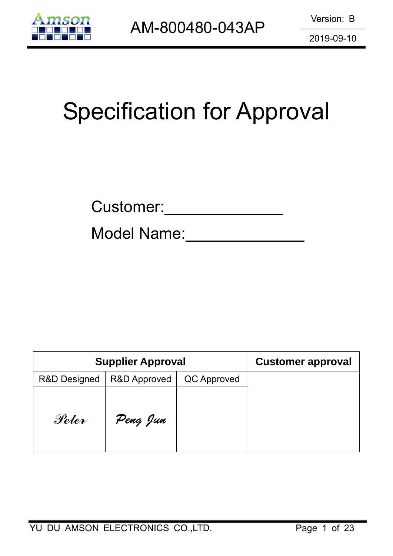

# Specification for Approval

Model Name:

| <b>Supplier Approval</b> | <b>Customer approval</b> |             |  |
|--------------------------|--------------------------|-------------|--|
| <b>R&amp;D Designed</b>  | <b>R&amp;D Approved</b>  | QC Approved |  |
| Peter                    | Peng Jun                 |             |  |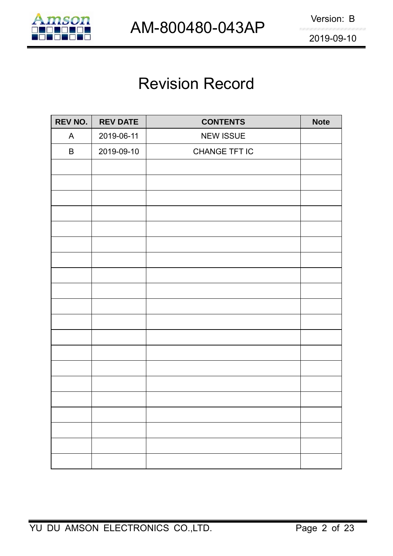

# Revision Record

| REV NO. | <b>REV DATE</b> | <b>CONTENTS</b>  | <b>Note</b> |
|---------|-----------------|------------------|-------------|
| A       | 2019-06-11      | <b>NEW ISSUE</b> |             |
| B       | 2019-09-10      | CHANGE TFT IC    |             |
|         |                 |                  |             |
|         |                 |                  |             |
|         |                 |                  |             |
|         |                 |                  |             |
|         |                 |                  |             |
|         |                 |                  |             |
|         |                 |                  |             |
|         |                 |                  |             |
|         |                 |                  |             |
|         |                 |                  |             |
|         |                 |                  |             |
|         |                 |                  |             |
|         |                 |                  |             |
|         |                 |                  |             |
|         |                 |                  |             |
|         |                 |                  |             |
|         |                 |                  |             |
|         |                 |                  |             |
|         |                 |                  |             |
|         |                 |                  |             |
|         |                 |                  |             |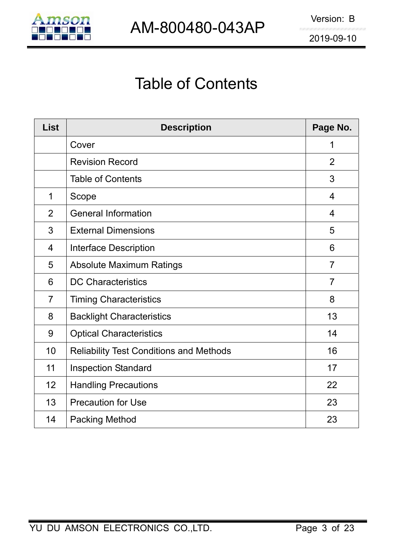

# Table of Contents

| <b>List</b>    | <b>Description</b>                             | Page No.       |
|----------------|------------------------------------------------|----------------|
|                | Cover                                          | 1              |
|                | <b>Revision Record</b>                         | 2              |
|                | <b>Table of Contents</b>                       | 3              |
| $\mathbf 1$    | Scope                                          | $\overline{4}$ |
| $\overline{2}$ | <b>General Information</b>                     | $\overline{4}$ |
| 3              | <b>External Dimensions</b>                     | 5              |
| 4              | <b>Interface Description</b>                   | 6              |
| 5              | <b>Absolute Maximum Ratings</b>                | $\overline{7}$ |
| 6              | <b>DC Characteristics</b>                      | $\overline{7}$ |
| $\overline{7}$ | <b>Timing Characteristics</b>                  | 8              |
| 8              | <b>Backlight Characteristics</b>               | 13             |
| 9              | <b>Optical Characteristics</b>                 | 14             |
| 10             | <b>Reliability Test Conditions and Methods</b> | 16             |
| 11             | <b>Inspection Standard</b>                     | 17             |
| 12             | <b>Handling Precautions</b>                    | 22             |
| 13             | <b>Precaution for Use</b>                      | 23             |
| 14             | <b>Packing Method</b>                          | 23             |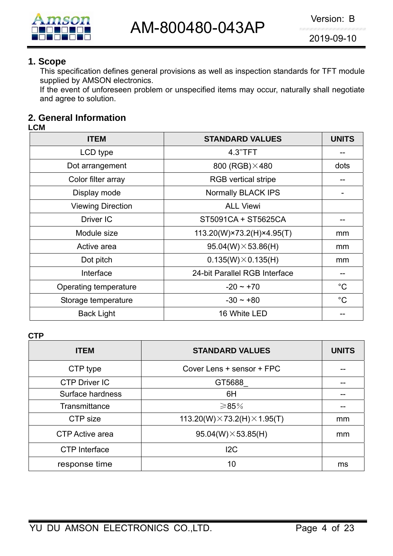

#### **1. Scope**

This specification defines general provisions as well as inspection standards for TFT module supplied by AMSON electronics.

If the event of unforeseen problem or unspecified items may occur, naturally shall negotiate and agree to solution.

# **2. General Information**

#### **LCM**

| <b>ITEM</b>              | <b>STANDARD VALUES</b>        | <b>UNITS</b>  |
|--------------------------|-------------------------------|---------------|
| LCD type                 | 4.3"TFT                       |               |
| Dot arrangement          | 800 (RGB) × 480               | dots          |
| Color filter array       | <b>RGB</b> vertical stripe    |               |
| Display mode             | Normally BLACK IPS            |               |
| <b>Viewing Direction</b> | <b>ALL Viewi</b>              |               |
| Driver IC                | ST5091CA + ST5625CA           |               |
| Module size              | 113.20(W)×73.2(H)×4.95(T)     | mm            |
| Active area              | $95.04(W) \times 53.86(H)$    | mm            |
| Dot pitch                | $0.135(W)\times 0.135(H)$     | <sub>mm</sub> |
| Interface                | 24-bit Parallel RGB Interface |               |
| Operating temperature    | $-20 \sim +70$                | $^{\circ}C$   |
| Storage temperature      | $-30 \sim +80$                | $^{\circ}C$   |
| <b>Back Light</b>        | 16 White LED                  |               |

**CTP** 

| <b>ITEM</b>          | <b>STANDARD VALUES</b>                      | <b>UNITS</b> |
|----------------------|---------------------------------------------|--------------|
| CTP type             | Cover Lens + sensor + FPC                   |              |
| <b>CTP Driver IC</b> | GT5688                                      |              |
| Surface hardness     | 6H                                          |              |
| Transmittance        | ≥85%                                        |              |
| CTP size             | 113.20(W) $\times$ 73.2(H) $\times$ 1.95(T) | mm           |
| CTP Active area      | $95.04(W) \times 53.85(H)$                  | mm           |
| <b>CTP</b> Interface | 12C                                         |              |
| response time        | 10                                          | ms           |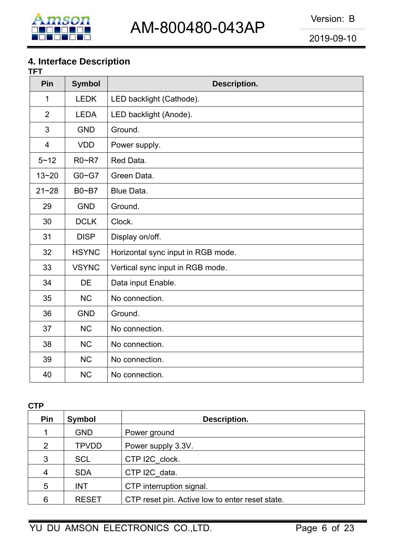

# **4. Interface Description**

| TFT            |               |                                    |
|----------------|---------------|------------------------------------|
| Pin            | <b>Symbol</b> | Description.                       |
| 1              | <b>LEDK</b>   | LED backlight (Cathode).           |
| $\overline{2}$ | <b>LEDA</b>   | LED backlight (Anode).             |
| 3              | <b>GND</b>    | Ground.                            |
| $\overline{4}$ | <b>VDD</b>    | Power supply.                      |
| $5 - 12$       | R0~R7         | Red Data.                          |
| $13 - 20$      | $G0 - G7$     | Green Data.                        |
| $21 - 28$      | $B0 - B7$     | Blue Data.                         |
| 29             | <b>GND</b>    | Ground.                            |
| 30             | <b>DCLK</b>   | Clock.                             |
| 31             | <b>DISP</b>   | Display on/off.                    |
| 32             | <b>HSYNC</b>  | Horizontal sync input in RGB mode. |
| 33             | <b>VSYNC</b>  | Vertical sync input in RGB mode.   |
| 34             | <b>DE</b>     | Data input Enable.                 |
| 35             | <b>NC</b>     | No connection.                     |
| 36             | <b>GND</b>    | Ground.                            |
| 37             | <b>NC</b>     | No connection.                     |
| 38             | <b>NC</b>     | No connection.                     |
| 39             | <b>NC</b>     | No connection.                     |
| 40             | <b>NC</b>     | No connection.                     |

**CTP** 

| Pin | <b>Symbol</b> | Description.                                    |
|-----|---------------|-------------------------------------------------|
|     | <b>GND</b>    | Power ground                                    |
| 2   | <b>TPVDD</b>  | Power supply 3.3V.                              |
| 3   | <b>SCL</b>    | CTP I2C_clock.                                  |
| 4   | <b>SDA</b>    | CTP I2C data.                                   |
| 5   | <b>INT</b>    | CTP interruption signal.                        |
| 6   | <b>RESET</b>  | CTP reset pin. Active low to enter reset state. |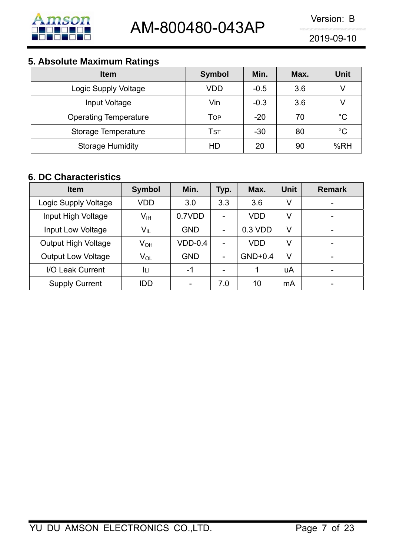

# **5. Absolute Maximum Ratings**

| <b>Item</b>                  | <b>Symbol</b> | Min.   | Max. | <b>Unit</b> |
|------------------------------|---------------|--------|------|-------------|
| Logic Supply Voltage         | VDD           | $-0.5$ | 3.6  |             |
| Input Voltage                | Vin           | $-0.3$ | 3.6  |             |
| <b>Operating Temperature</b> | Тор           | $-20$  | 70   | $^{\circ}C$ |
| Storage Temperature          | Tst           | $-30$  | 80   | $^{\circ}C$ |
| <b>Storage Humidity</b>      | HD            | 20     | 90   | %RH         |

# **6. DC Characteristics**

| <b>Item</b>                | <b>Symbol</b>              | Min.       | Typ.                     | Max.       | Unit | <b>Remark</b>            |
|----------------------------|----------------------------|------------|--------------------------|------------|------|--------------------------|
| Logic Supply Voltage       | <b>VDD</b>                 | 3.0        | 3.3                      | 3.6        | V    |                          |
| Input High Voltage         | $V_{\text{IH}}$            | 0.7VDD     | $\overline{\phantom{0}}$ | <b>VDD</b> | V    | $\overline{\phantom{a}}$ |
| <b>Input Low Voltage</b>   | $V_{IL}$                   | <b>GND</b> | -                        | 0.3 VDD    | V    |                          |
| <b>Output High Voltage</b> | V <sub>он</sub>            | $VDD-0.4$  | $\blacksquare$           | <b>VDD</b> | V    | -                        |
| <b>Output Low Voltage</b>  | $\mathsf{V}_{\mathsf{OL}}$ | <b>GND</b> | $\overline{\phantom{a}}$ | $GND+0.4$  | V    |                          |
| I/O Leak Current           | Iц                         | -1         | $\overline{\phantom{0}}$ | 1          | uA   |                          |
| <b>Supply Current</b>      | IDD                        |            | 7.0                      | 10         | mA   | $\overline{\phantom{0}}$ |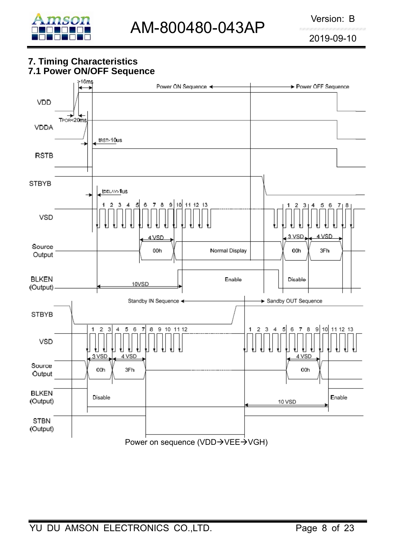

#### **7. Timing Characteristics 7.1 Power ON/OFF Sequence**

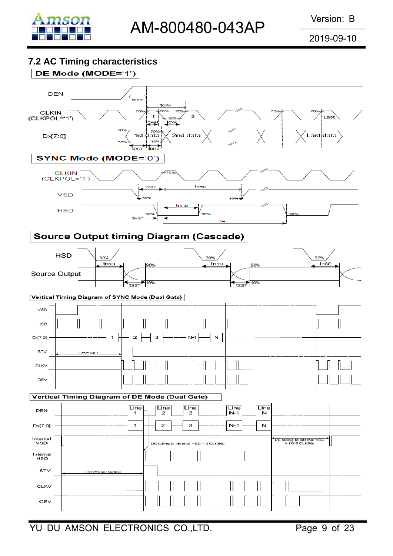

#### **7.2 AC Timing characteristics**

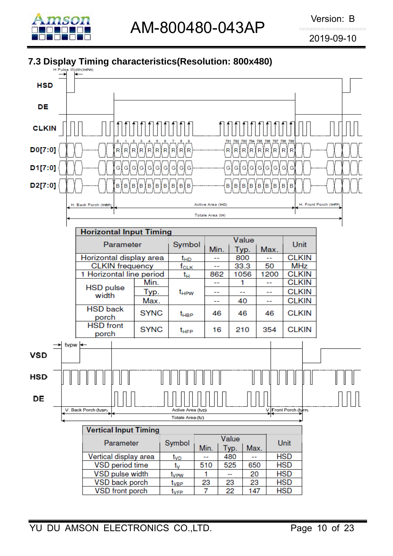

# **7.3 Display Timing characteristics(Resolution: 800x480)**

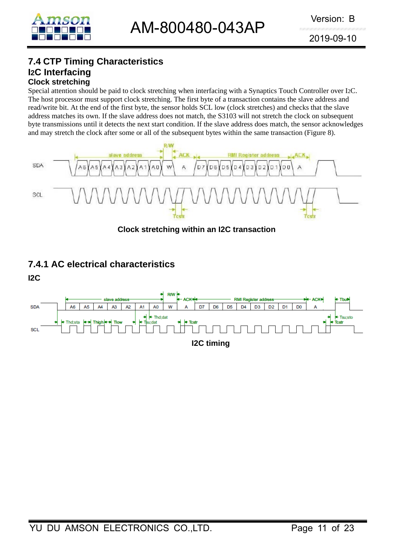

#### **7.4 CTP Timing Characteristics I2C Interfacing Clock stretching**

Special attention should be paid to clock stretching when interfacing with a Synaptics Touch Controller over I2C. The host processor must support clock stretching. The first byte of a transaction contains the slave address and read/write bit. At the end of the first byte, the sensor holds SCL low (clock stretches) and checks that the slave address matches its own. If the slave address does not match, the S3103 will not stretch the clock on subsequent byte transmissions until it detects the next start condition. If the slave address does match, the sensor acknowledges and may stretch the clock after some or all of the subsequent bytes within the same transaction (Figure 8).



**Clock stretching within an I2C transaction** 

# **7.4.1 AC electrical characteristics**

**I2C** 

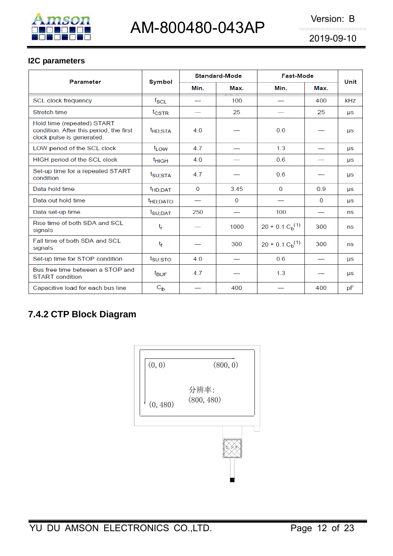

#### **I2C parameters**

| <b>Parameter</b>                                                                                   |                      |                | <b>Standard-Mode</b> | <b>Fast-Mode</b> | Unit |           |
|----------------------------------------------------------------------------------------------------|----------------------|----------------|----------------------|------------------|------|-----------|
|                                                                                                    | <b>Symbol</b>        | Min.           | Max.                 | Min.             | Max. |           |
| <b>SCL clock frequency</b>                                                                         | $f_{\rm SCL}$        |                | 100                  |                  | 400  | kHz       |
| Stretch time                                                                                       | $t_{\text{CSTR}}$    |                | 25                   |                  | 25   | μs        |
| Hold time (repeated) START<br>condition. After this period, the first<br>clock pulse is generated. | <sup>t</sup> HD;STA  | 4.0            |                      | 0.6              |      | <b>US</b> |
| LOW period of the SCL clock                                                                        | t <sub>LOW</sub>     | 4.7            |                      | 1.3              |      | <b>US</b> |
| HIGH period of the SCL clock                                                                       | <sup>t</sup> HIGH    | 4.0            |                      | 0.6              |      | <b>US</b> |
| Set-up time for a repeated START<br>condition                                                      | t <sub>SU;STA</sub>  | 4.7            |                      | 0.6              |      | μs        |
| Data hold time                                                                                     | t <sub>HD;DAT</sub>  | $\overline{0}$ | 3.45                 | $\overline{0}$   | 0.9  | μs        |
| Data out hold time                                                                                 | <sup>t</sup> HD;DATO |                | 0                    |                  | 0    | <b>US</b> |
| Data set-up time                                                                                   | t <sub>SU;DAT</sub>  | 250            |                      | 100              |      | ns        |
| Rise time of both SDA and SCI<br>signals                                                           | tr                   |                | 1000                 | $20 + 0.1 Cb(1)$ | 300  | ns        |
| Fall time of both SDA and SCL<br>signals                                                           | $t_{\rm f}$          |                | 300                  | $20 + 0.1 Cb(1)$ | 300  | ns        |
| Set-up time for STOP condition                                                                     | $t_{\text{SU:STO}}$  | 4.0            |                      | 0.6              |      | <b>US</b> |
| Bus free time between a STOP and<br><b>START</b> condition                                         | <sup>t</sup> BUF     | 4.7            |                      | 1.3              |      | <b>US</b> |
| Capacitive load for each bus line                                                                  | $C_{b}$              |                | 400                  |                  | 400  | pF        |

# **7.4.2 CTP Block Diagram**

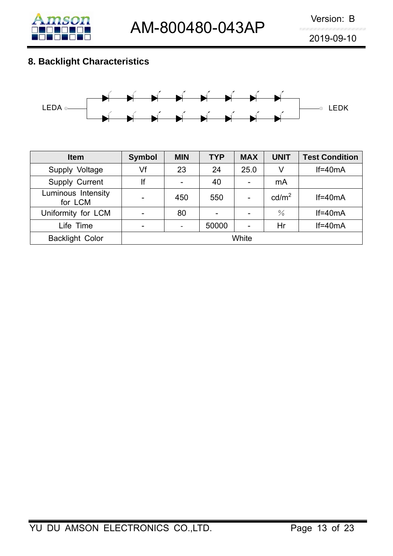

# **8. Backlight Characteristics**



| <b>Item</b>                   | <b>Symbol</b> | <b>MIN</b> | <b>TYP</b> | <b>MAX</b> | <b>UNIT</b>       | <b>Test Condition</b> |
|-------------------------------|---------------|------------|------------|------------|-------------------|-----------------------|
| Supply Voltage                | Vf            | 23         | 24         | 25.0       | V                 | $If=40mA$             |
| Supply Current                | lf            |            | 40         |            | mA                |                       |
| Luminous Intensity<br>for LCM |               | 450        | 550        |            | cd/m <sup>2</sup> | $If=40mA$             |
| Uniformity for LCM            |               | 80         |            |            | $\frac{0}{0}$     | $If=40mA$             |
| Life Time                     | -             |            | 50000      |            | Hr                | $If=40mA$             |
| <b>Backlight Color</b>        | White         |            |            |            |                   |                       |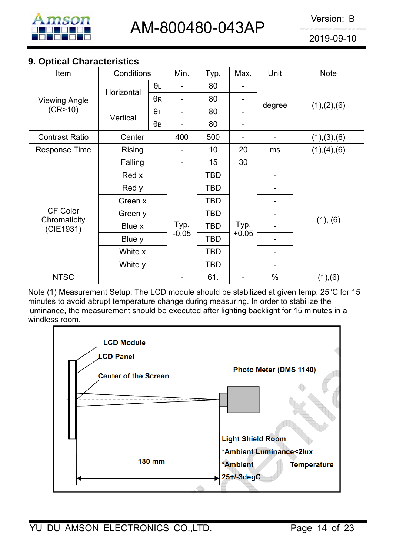

### **9. Optical Characteristics**

| Item                                  | Conditions                  |            | Min.            | Typ.            | Max.            | Unit   | <b>Note</b>   |
|---------------------------------------|-----------------------------|------------|-----------------|-----------------|-----------------|--------|---------------|
| <b>Viewing Angle</b>                  | Horizontal                  | $\theta$ L |                 | 80              |                 | degree | (1), (2), (6) |
|                                       |                             | $\theta$ R |                 | 80              |                 |        |               |
| (CR>10)                               | Vertical                    | $\theta$ T |                 | 80              |                 |        |               |
|                                       |                             | $\theta$ B |                 | 80              |                 |        |               |
| <b>Contrast Ratio</b>                 | Center                      |            | 400             | 500             |                 |        | (1), (3), (6) |
| <b>Response Time</b>                  | <b>Rising</b>               |            |                 | 10 <sup>1</sup> | 20              | ms     | (1), (4), (6) |
|                                       | Falling                     |            | Ξ.              | 15              | 30              |        |               |
| CF Color<br>Chromaticity<br>(CIE1931) | Red x                       |            |                 | TBD             |                 |        |               |
|                                       | Red y<br>Green x            |            |                 | <b>TBD</b>      |                 |        |               |
|                                       |                             |            |                 | <b>TBD</b>      |                 |        |               |
|                                       | Green y                     |            |                 | <b>TBD</b>      |                 |        |               |
|                                       | Blue x<br>Blue y<br>White x |            | Typ.<br>$-0.05$ | <b>TBD</b>      | Typ.<br>$+0.05$ |        | (1), (6)      |
|                                       |                             |            |                 | TBD             |                 |        |               |
|                                       |                             |            |                 | <b>TBD</b>      |                 |        |               |
|                                       | White y                     |            |                 | <b>TBD</b>      |                 |        |               |
| <b>NTSC</b>                           |                             |            |                 | 61.             |                 | $\%$   | (1), (6)      |

Note (1) Measurement Setup: The LCD module should be stabilized at given temp. 25°C for 15 minutes to avoid abrupt temperature change during measuring. In order to stabilize the luminance, the measurement should be executed after lighting backlight for 15 minutes in a windless room.

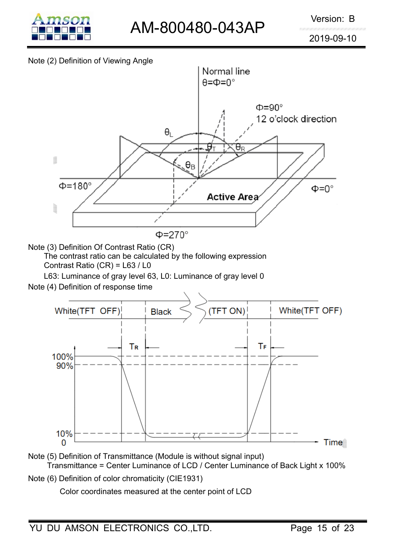

#### Note (2) Definition of Viewing Angle



Note (3) Definition Of Contrast Ratio (CR)

The contrast ratio can be calculated by the following expression Contrast Ratio (CR) = L63 / L0

L63: Luminance of gray level 63, L0: Luminance of gray level 0

Note (4) Definition of response time



Note (5) Definition of Transmittance (Module is without signal input) Transmittance = Center Luminance of LCD / Center Luminance of Back Light x 100%

Note (6) Definition of color chromaticity (CIE1931)

Color coordinates measured at the center point of LCD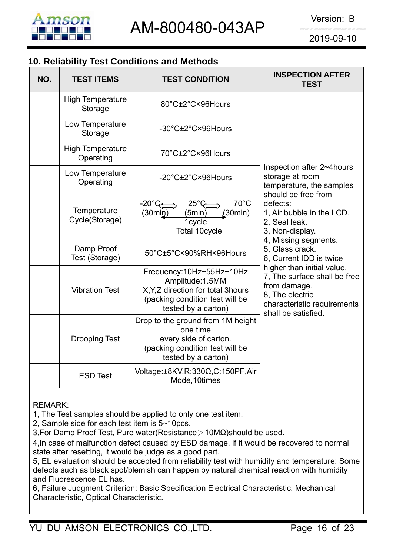

# **10. Reliability Test Conditions and Methods**

| NO. | <b>TEST ITEMS</b>                    | <b>TEST CONDITION</b>                                                                                                                        | <b>INSPECTION AFTER</b><br><b>TEST</b>                                                                                                              |  |
|-----|--------------------------------------|----------------------------------------------------------------------------------------------------------------------------------------------|-----------------------------------------------------------------------------------------------------------------------------------------------------|--|
|     | <b>High Temperature</b><br>Storage   | 80°C±2°C×96Hours                                                                                                                             |                                                                                                                                                     |  |
|     | Low Temperature<br>Storage           | -30°C±2°C×96Hours                                                                                                                            |                                                                                                                                                     |  |
|     | <b>High Temperature</b><br>Operating | 70°C±2°C×96Hours                                                                                                                             |                                                                                                                                                     |  |
|     | Low Temperature<br>Operating         | -20°C±2°C×96Hours                                                                                                                            | Inspection after 2~4 hours<br>storage at room<br>temperature, the samples                                                                           |  |
|     | Temperature<br>Cycle(Storage)        | $70^{\circ}$ C<br>$-20^{\circ}$ C<br>$25^\circ$ C<br>(30min)<br>(5min)<br>(30 <sub>min</sub> )<br>1cycle<br>Total 10cycle                    | should be free from<br>defects:<br>1, Air bubble in the LCD.<br>2, Seal leak.<br>3, Non-display.                                                    |  |
|     | Damp Proof<br>Test (Storage)         | 50°C±5°C×90%RH×96Hours                                                                                                                       | 4, Missing segments.<br>5, Glass crack.<br>6, Current IDD is twice                                                                                  |  |
|     | <b>Vibration Test</b>                | Frequency:10Hz~55Hz~10Hz<br>Amplitude: 1.5MM<br>X, Y, Z direction for total 3hours<br>(packing condition test will be<br>tested by a carton) | higher than initial value.<br>7, The surface shall be free<br>from damage.<br>8, The electric<br>characteristic requirements<br>shall be satisfied. |  |
|     | <b>Drooping Test</b>                 | Drop to the ground from 1M height<br>one time<br>every side of carton.<br>(packing condition test will be<br>tested by a carton)             |                                                                                                                                                     |  |
|     | <b>ESD Test</b>                      | Voltage:±8KV,R:330Ω,C:150PF,Air<br>Mode, 10times                                                                                             |                                                                                                                                                     |  |

REMARK:

1, The Test samples should be applied to only one test item.

2, Sample side for each test item is 5~10pcs.

3,For Damp Proof Test, Pure water(Resistance>10MΩ)should be used.

4,In case of malfunction defect caused by ESD damage, if it would be recovered to normal state after resetting, it would be judge as a good part.

5, EL evaluation should be accepted from reliability test with humidity and temperature: Some defects such as black spot/blemish can happen by natural chemical reaction with humidity and Fluorescence EL has.

6, Failure Judgment Criterion: Basic Specification Electrical Characteristic, Mechanical Characteristic, Optical Characteristic.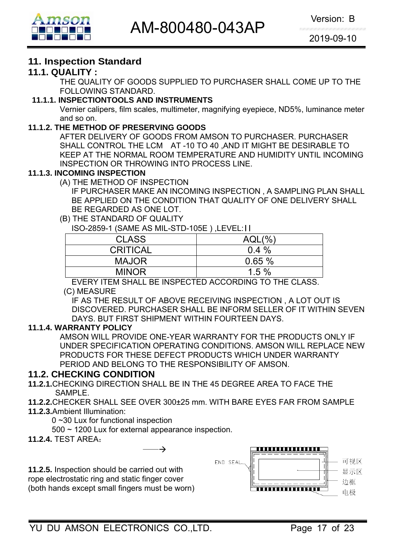

# **11. Inspection Standard**

#### **11.1. QUALITY :**

THE QUALITY OF GOODS SUPPLIED TO PURCHASER SHALL COME UP TO THE FOLLOWING STANDARD.

#### **11.1.1. INSPECTIONTOOLS AND INSTRUMENTS**

Vernier calipers, film scales, multimeter, magnifying eyepiece, ND5%, luminance meter and so on.

#### **11.1.2. THE METHOD OF PRESERVING GOODS**

AFTER DELIVERY OF GOODS FROM AMSON TO PURCHASER. PURCHASER SHALL CONTROL THE LCM AT -10 TO 40 ,AND IT MIGHT BE DESIRABLE TO KEEP AT THE NORMAL ROOM TEMPERATURE AND HUMIDITY UNTIL INCOMING INSPECTION OR THROWING INTO PROCESS LINE.

#### **11.1.3. INCOMING INSPECTION**

(A) THE METHOD OF INSPECTION

 IF PURCHASER MAKE AN INCOMING INSPECTION , A SAMPLING PLAN SHALL BE APPLIED ON THE CONDITION THAT QUALITY OF ONE DELIVERY SHALL BE REGARDED AS ONE LOT.

#### (B) THE STANDARD OF QUALITY

ISO-2859-1 (SAME AS MIL-STD-105E ) ,LEVEL:II

| <b>CLASS</b>    | $AQL(\%)$ |
|-----------------|-----------|
| <b>CRITICAL</b> | $0.4\%$   |
| <b>MAJOR</b>    | 0.65%     |
| <b>MINOR</b>    | 1.5%      |

EVERY ITEM SHALL BE INSPECTED ACCORDING TO THE CLASS.

#### (C) MEASURE

IF AS THE RESULT OF ABOVE RECEIVING INSPECTION , A LOT OUT IS DISCOVERED. PURCHASER SHALL BE INFORM SELLER OF IT WITHIN SEVEN DAYS. BUT FIRST SHIPMENT WITHIN FOURTEEN DAYS.

#### **11.1.4. WARRANTY POLICY**

AMSON WILL PROVIDE ONE-YEAR WARRANTY FOR THE PRODUCTS ONLY IF UNDER SPECIFICATION OPERATING CONDITIONS. AMSON WILL REPLACE NEW PRODUCTS FOR THESE DEFECT PRODUCTS WHICH UNDER WARRANTY PERIOD AND BELONG TO THE RESPONSIBILITY OF AMSON.

#### **11.2. CHECKING CONDITION**

- **11.2.1.**CHECKING DIRECTION SHALL BE IN THE 45 DEGREE AREA TO FACE THE SAMPLE.
- **11.2.2.**CHECKER SHALL SEE OVER 300±25 mm. WITH BARE EYES FAR FROM SAMPLE
- **11.2.3.**Ambient Illumination:

0 ~30 Lux for functional inspection

500 ~ 1200 Lux for external appearance inspection.

 $\rightarrow$ 

**11.2.4.** TEST AREA:

**11.2.5.** Inspection should be carried out with rope electrostatic ring and static finger cover (both hands except small fingers must be worn)

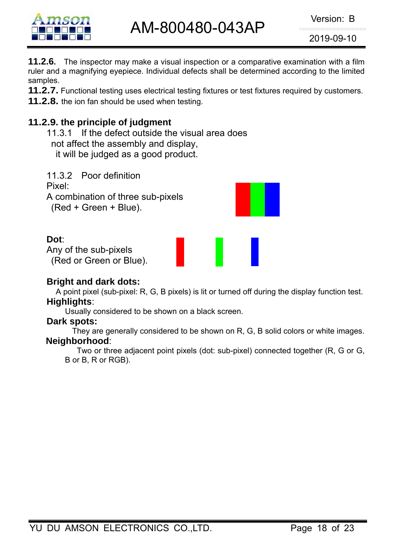

AM-800480-043AP Version: B

2019-09-10

**11.2.6.** The inspector may make a visual inspection or a comparative examination with a film ruler and a magnifying eyepiece. Individual defects shall be determined according to the limited samples.

**11.2.7.** Functional testing uses electrical testing fixtures or test fixtures required by customers.

**11.2.8.** the ion fan should be used when testing.

# **11.2.9. the principle of judgment**

11.3.1 If the defect outside the visual area does not affect the assembly and display, it will be judged as a good product.

11.3.2 Poor definition Pixel: A combination of three sub-pixels (Red + Green + Blue).

# **Dot**:

Any of the sub-pixels (Red or Green or Blue).

#### **Bright and dark dots:**

A point pixel (sub-pixel: R, G, B pixels) is lit or turned off during the display function test.

# **Highlights**:

Usually considered to be shown on a black screen.

#### **Dark spots:**

They are generally considered to be shown on R, G, B solid colors or white images. **Neighborhood**:

Two or three adjacent point pixels (dot: sub-pixel) connected together (R, G or G, B or B, R or RGB).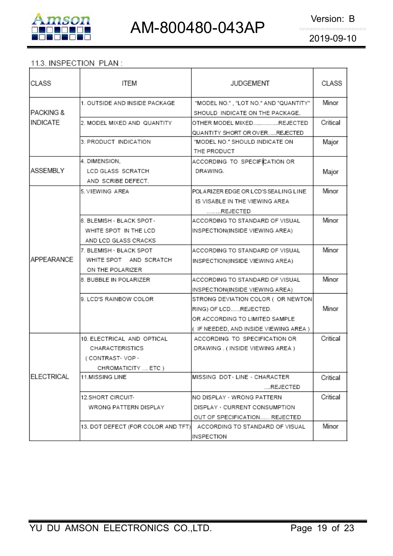

#### 11.3. INSPECTION PLAN:

| CLASS                | ITEM                               | <b>JUDGEMENT</b>                                                         | CLASS    |
|----------------------|------------------------------------|--------------------------------------------------------------------------|----------|
| <b>PACKING &amp;</b> | 1. OUTSIDE AND INSIDE PACKAGE      | "MODEL NO.", "LOT NO." AND "QUANTITY"<br>SHOULD INDICATE ON THE PACKAGE. | Minor    |
| IINDICATE            | 2. MODEL MIXED AND QUANTITY        | OTHER MODEL MIXEDREJECTED                                                | Critical |
|                      |                                    | QUANTITY SHORT OR OVERREJECTED                                           |          |
|                      | 3. PRODUCT INDICATION              | "MODEL NO." SHOULD INDICATE ON                                           | Major    |
|                      |                                    | THE PRODUCT                                                              |          |
|                      | 4. DIMENSION.                      | ACCORDING TO SPECIFICATION OR                                            |          |
| ASSEMBLY             | LCD GLASS SCRATCH                  | DRAWING.                                                                 | Major    |
|                      | AND SCRIBE DEFECT.                 |                                                                          |          |
|                      | 5. VIEWING AREA                    | POLARIZER EDGE OR LCD'S SEALING LINE                                     | Minor    |
|                      |                                    | IS VISABLE IN THE VIEWING AREA                                           |          |
|                      |                                    | REJECTED                                                                 |          |
|                      | 6. BLEMISH - BLACK SPOT -          | ACCORDING TO STANDARD OF VISUAL                                          | Minor    |
|                      | WHITE SPOT IN THE LCD              | INSPECTION(INSIDE VIEWING AREA)                                          |          |
|                      | AND LCD GLASS CRACKS               |                                                                          |          |
|                      | 7. BLEMISH · BLACK SPOT            | ACCORDING TO STANDARD OF VISUAL                                          | Minor    |
| <b>APPEARANCE</b>    | WHITE SPOT AND SCRATCH             | INSPECTION(INSIDE VIEWING AREA)                                          |          |
|                      | ON THE POLARIZER                   |                                                                          |          |
|                      | 8. BUBBLE IN POLARIZER             | ACCORDING TO STANDARD OF VISUAL                                          | Minor    |
|                      |                                    | INSPECTION(INSIDE VIEWING AREA)                                          |          |
|                      | 9. LCD'S RAINBOW COLOR             | STRONG DEVIATION COLOR ( OR NEWTON)                                      |          |
|                      |                                    | RING) OF LCDREJECTED.                                                    | Minor    |
|                      |                                    | OR ACCORDING TO LIMITED SAMPLE                                           |          |
|                      |                                    | ( IF NEEDED, AND INSIDE VIEWING AREA )                                   |          |
|                      | 10. ELECTRICAL AND OPTICAL         | ACCORDING TO SPECIFICATION OR                                            | Critical |
|                      | CHARACTERISTICS                    | DRAWING . (INSIDE VIEWING AREA)                                          |          |
|                      | (CONTRAST-VOP-                     |                                                                          |          |
|                      | CHROMATICITY  ETC )                |                                                                          |          |
| ELECTRICAL           | <b>11.MISSING LINE</b>             | IMISSING DOT LINE · CHARACTER                                            | Critical |
|                      |                                    | REJECTED                                                                 |          |
|                      | 12.SHORT CIRCUIT-                  | INO DISPLAY • WRONG PATTERN                                              | Critical |
|                      | WRONG PATTERN DISPLAY              | DISPLAY · CURRENT CONSUMPTION                                            |          |
|                      |                                    | OUT OF SPECIFICATION REJECTED                                            |          |
|                      | 13. DOT DEFECT (FOR COLOR AND TFT) | ACCORDING TO STANDARD OF VISUAL                                          | Minor    |
|                      |                                    | INSPECTION                                                               |          |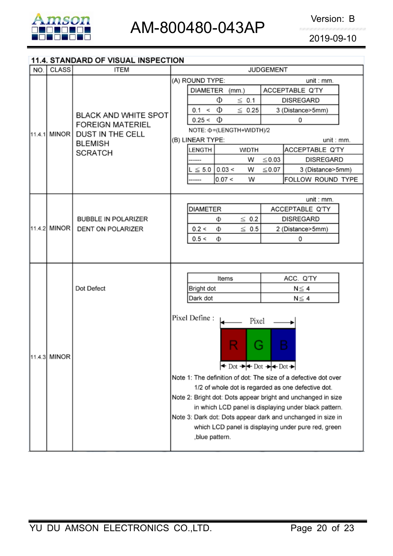

#### 11.4. STANDARD OF VISUAL INSPECTION

| NO.            | <b>CLASS</b> | <b>ITEM</b>                                                                                                           | <b>JUDGEMENT</b>                                                                                            |  |  |  |
|----------------|--------------|-----------------------------------------------------------------------------------------------------------------------|-------------------------------------------------------------------------------------------------------------|--|--|--|
|                |              |                                                                                                                       | (A) ROUND TYPE:<br>unit: mm.                                                                                |  |  |  |
|                |              | DIAMETER (mm.)<br>ACCEPTABLE Q'TY                                                                                     |                                                                                                             |  |  |  |
|                |              |                                                                                                                       | Φ<br>$\leq$ 0.1<br><b>DISREGARD</b>                                                                         |  |  |  |
|                |              | $0.1 < \Phi$<br>$\leq 0.25$<br>3 (Distance>5mm)                                                                       |                                                                                                             |  |  |  |
|                |              | <b>BLACK AND WHITE SPOT</b><br><b>FOREIGN MATERIEL</b><br><b>DUST IN THE CELL</b><br><b>BLEMISH</b><br><b>SCRATCH</b> | $0.25 < \Phi$<br>0                                                                                          |  |  |  |
| 11.4.1         | MINOR I      |                                                                                                                       | NOTE: $\Phi$ = (LENGTH+WIDTH)/2                                                                             |  |  |  |
|                |              |                                                                                                                       | (B) LINEAR TYPE:<br>unit : mm.                                                                              |  |  |  |
|                |              |                                                                                                                       | LENGTH<br>ACCEPTABLE Q'TY<br><b>WIDTH</b>                                                                   |  |  |  |
|                |              |                                                                                                                       | $\leq$ 0.03<br>W<br><b>DISREGARD</b>                                                                        |  |  |  |
|                |              |                                                                                                                       | $\leq 5.0$<br> 0.03 <br>W<br>$\leq 0.07$<br>3 (Distance>5mm)                                                |  |  |  |
|                |              |                                                                                                                       | 0.07 <<br>W<br>FOLLOW ROUND TYPE                                                                            |  |  |  |
|                |              |                                                                                                                       |                                                                                                             |  |  |  |
|                |              |                                                                                                                       | unit: mm.                                                                                                   |  |  |  |
|                |              | <b>DIAMETER</b><br>ACCEPTABLE Q'TY                                                                                    |                                                                                                             |  |  |  |
|                |              | <b>BUBBLE IN POLARIZER</b><br>DENT ON POLARIZER                                                                       | $\leq 0.2$<br><b>DISREGARD</b><br>Φ                                                                         |  |  |  |
| 11.4.2 MINOR I |              |                                                                                                                       | $\leq 0.5$<br>0.2 <<br>2 (Distance>5mm)<br>Φ<br>0.5 <<br>Ф<br>0                                             |  |  |  |
|                |              |                                                                                                                       |                                                                                                             |  |  |  |
|                |              |                                                                                                                       |                                                                                                             |  |  |  |
|                |              |                                                                                                                       |                                                                                                             |  |  |  |
|                |              | Dot Defect                                                                                                            | ACC. Q'TY<br>Items                                                                                          |  |  |  |
|                |              |                                                                                                                       | Bright dot<br>$N \leq 4$                                                                                    |  |  |  |
|                |              |                                                                                                                       | Dark dot<br>$N \leq 4$                                                                                      |  |  |  |
|                |              |                                                                                                                       |                                                                                                             |  |  |  |
|                |              |                                                                                                                       | Pixel Define:<br>Pixel                                                                                      |  |  |  |
|                |              |                                                                                                                       |                                                                                                             |  |  |  |
|                |              |                                                                                                                       | B                                                                                                           |  |  |  |
|                |              |                                                                                                                       | $\blacklozenge$                                                                                             |  |  |  |
|                | 11.4.3 MINOR |                                                                                                                       | $\leftrightarrow$ Dot $\rightarrow$ $\leftrightarrow$ Dot $\rightarrow$ $\leftrightarrow$ Dot $\rightarrow$ |  |  |  |
|                |              |                                                                                                                       |                                                                                                             |  |  |  |
|                |              |                                                                                                                       | Note 1: The definition of dot: The size of a defective dot over                                             |  |  |  |
|                |              |                                                                                                                       | 1/2 of whole dot is regarded as one defective dot.                                                          |  |  |  |
|                |              | Note 2: Bright dot: Dots appear bright and unchanged in size<br>in which LCD panel is displaying under black pattern. |                                                                                                             |  |  |  |
|                |              | Note 3: Dark dot: Dots appear dark and unchanged in size in                                                           |                                                                                                             |  |  |  |
|                |              |                                                                                                                       | which LCD panel is displaying under pure red, green                                                         |  |  |  |
|                |              |                                                                                                                       | ,blue pattern.                                                                                              |  |  |  |
|                |              |                                                                                                                       |                                                                                                             |  |  |  |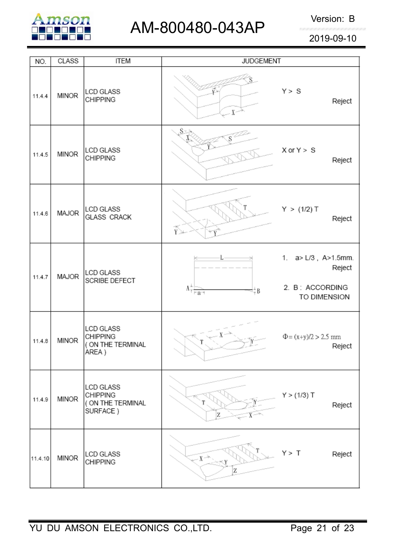

# AM-800480-043AP Version: B

2019-09-10

| NO.     | <b>CLASS</b> | <b>ITEM</b>                                                      | <b>JUDGEMENT</b>                                              |                                                                  |
|---------|--------------|------------------------------------------------------------------|---------------------------------------------------------------|------------------------------------------------------------------|
| 11.4.4  | <b>MINOR</b> | LCD GLASS<br><b>CHIPPING</b>                                     | $X -$                                                         | Y > S<br>Reject                                                  |
| 11.4.5  | <b>MINOR</b> | <b>LCD GLASS</b><br><b>CHIPPING</b>                              | $\mathbf{S}$                                                  | $X$ or $Y > S$<br>Reject                                         |
| 11.4.6  | MAJOR        | <b>LCD GLASS</b><br><b>GLASS CRACK</b>                           | $\widetilde{Y}$                                               | Y > (1/2) T<br>Reject                                            |
| 11.4.7  | MAJOR        | <b>LCD GLASS</b><br>SCRIBE DEFECT                                | $\Lambda^{+,-}_{\overline{\uparrow}~ ~\!\!-\!\!q^{-q}}$<br>₩₿ | 1. a> L/3, A>1.5mm.<br>Reject<br>2. B: ACCORDING<br>TO DIMENSION |
| 11.4.8  | <b>MINOR</b> | <b>LCD GLASS</b><br><b>CHIPPING</b><br>(ON THE TERMINAL<br>AREA) |                                                               | $\Phi = (x+y)/2 > 2.5$ mm<br>Reject                              |
| 11.4.9  | <b>MINOR</b> | LCD GLASS<br><b>CHIPPING</b><br>( ON THE TERMINAL<br>SURFACE)    | Z                                                             | Y > (1/3) T<br>Reject                                            |
| 11.4.10 | <b>MINOR</b> | LCD GLASS<br><b>CHIPPING</b>                                     | $X \rightarrow$<br>Z                                          | Y > T<br>Reject                                                  |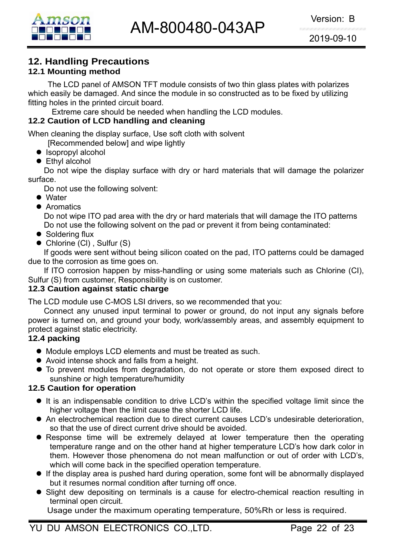

# **12. Handling Precautions**

### **12.1 Mounting method**

The LCD panel of AMSON TFT module consists of two thin glass plates with polarizes which easily be damaged. And since the module in so constructed as to be fixed by utilizing fitting holes in the printed circuit board.

Extreme care should be needed when handling the LCD modules.

#### **12.2 Caution of LCD handling and cleaning**

When cleaning the display surface, Use soft cloth with solvent

[Recommended below] and wipe lightly

- $\bullet$  Isopropyl alcohol
- $\bullet$  Ethyl alcohol

 Do not wipe the display surface with dry or hard materials that will damage the polarizer surface.

Do not use the following solvent:

- $\bullet$  Water
- **Aromatics**

 Do not wipe ITO pad area with the dry or hard materials that will damage the ITO patterns Do not use the following solvent on the pad or prevent it from being contaminated:

- $\bullet$  Soldering flux
- $\bullet$  Chlorine (CI), Sulfur (S)

If goods were sent without being silicon coated on the pad, ITO patterns could be damaged due to the corrosion as time goes on.

If ITO corrosion happen by miss-handling or using some materials such as Chlorine (CI), Sulfur (S) from customer, Responsibility is on customer.

#### **12.3 Caution against static charge**

The LCD module use C-MOS LSI drivers, so we recommended that you:

Connect any unused input terminal to power or ground, do not input any signals before power is turned on, and ground your body, work/assembly areas, and assembly equipment to protect against static electricity.

#### **12.4 packing**

- Module employs LCD elements and must be treated as such.
- Avoid intense shock and falls from a height.
- $\bullet$  To prevent modules from degradation, do not operate or store them exposed direct to sunshine or high temperature/humidity

#### **12.5 Caution for operation**

- It is an indispensable condition to drive LCD's within the specified voltage limit since the higher voltage then the limit cause the shorter LCD life.
- An electrochemical reaction due to direct current causes LCD's undesirable deterioration, so that the use of direct current drive should be avoided.
- Response time will be extremely delayed at lower temperature then the operating temperature range and on the other hand at higher temperature LCD's how dark color in them. However those phenomena do not mean malfunction or out of order with LCD's, which will come back in the specified operation temperature.
- $\bullet$  If the display area is pushed hard during operation, some font will be abnormally displayed but it resumes normal condition after turning off once.
- Slight dew depositing on terminals is a cause for electro-chemical reaction resulting in terminal open circuit.

Usage under the maximum operating temperature, 50%Rh or less is required.